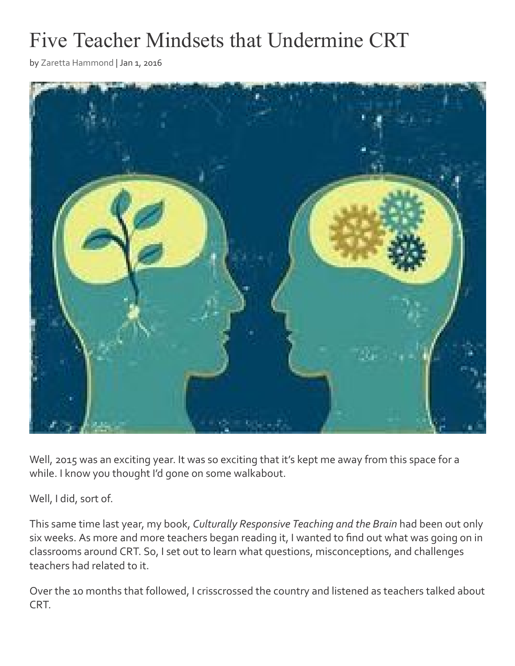# Five Teacher Mindsets that Undermine CRT

by [Zaretta Hammond](https://crtandthebrain.com/author/zaretta-hammond/) | Jan 1, 2016



Well, 2015 was an exciting year. It was so exciting that it's kept me away from this space for a while. I know you thought I'd gone on some walkabout.

Well, I did, sort of.

This same time last year, my book, *Culturally Responsive Teaching and the Brain* had been out only six weeks. As more and more teachers began reading it, I wanted to find out what was going on in classrooms around CRT. So, I set out to learn what questions, misconceptions, and challenges teachers had related to it.

Over the 10 months that followed, I crisscrossed the country and listened as teachers talked about CRT.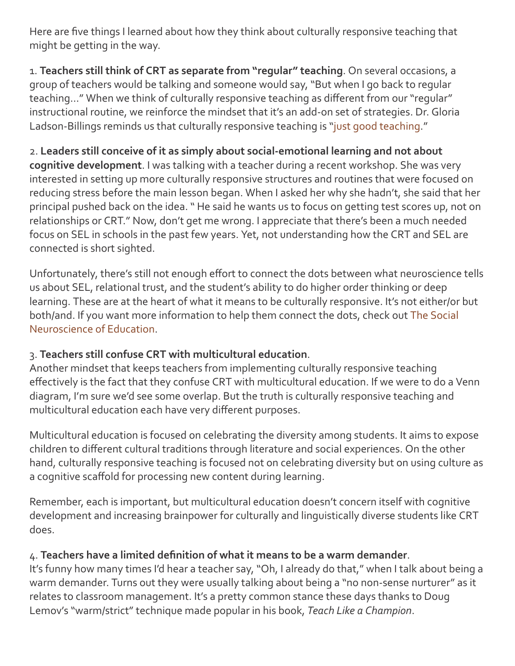Here are five things I learned about how they think about culturally responsive teaching that might be getting in the way.

1. **Teachers still think of CRT as separate from "regular" teaching**. On several occasions, a group of teachers would be talking and someone would say, "But when I go back to regular teaching…" When we think of culturally responsive teaching as different from our "regular" instructional routine, we reinforce the mindset that it's an add-on set of strategies. Dr. Gloria Ladson-Billings reminds us that culturally responsive teaching is "[just good teaching.](http://equity.spps.org/uploads/but_that_s_just_ladson-billings_pdf.pdf)"

# 2. **Leaders still conceive of it as simply about social-emotional learning and not about**

**cognitive development**. I was talking with a teacher during a recent workshop. She was very interested in setting up more culturally responsive structures and routines that were focused on reducing stress before the main lesson began. When I asked her why she hadn't, she said that her principal pushed back on the idea. " He said he wants us to focus on getting test scores up, not on relationships or CRT." Now, don't get me wrong. I appreciate that there's been a much needed focus on SEL in schools in the past few years. Yet, not understanding how the CRT and SEL are connected is short sighted.

Unfortunately, there's still not enough effort to connect the dots between what neuroscience tells us about SEL, relational trust, and the student's ability to do higher order thinking or deep learning. These are at the heart of what it means to be culturally responsive. It's not either/or but [both/and. If you want more information to help them connect the dots, check out](http://www.amazon.com/Social-Neuroscience-Education-Optimizing-Attachment/dp/0393706095/ref=sr_1_1?ie=UTF8&qid=1451614747&sr=8-1&keywords=social+neuroscience+of+education) The Social Neuroscience of Education.

#### 3. **Teachers still confuse CRT with multicultural education**.

Another mindset that keeps teachers from implementing culturally responsive teaching effectively is the fact that they confuse CRT with multicultural education. If we were to do a Venn diagram, I'm sure we'd see some overlap. But the truth is culturally responsive teaching and multicultural education each have very different purposes.

Multicultural education is focused on celebrating the diversity among students. It aims to expose children to different cultural traditions through literature and social experiences. On the other hand, culturally responsive teaching is focused not on celebrating diversity but on using culture as a cognitive scaffold for processing new content during learning.

Remember, each is important, but multicultural education doesn't concern itself with cognitive development and increasing brainpower for culturally and linguistically diverse students like CRT does.

#### 4. **Teachers have a limited definition of what it means to be a warm demander**.

It's funny how many times I'd hear a teacher say, "Oh, I already do that," when I talk about being a warm demander. Turns out they were usually talking about being a "no non-sense nurturer" as it relates to classroom management. It's a pretty common stance these days thanks to Doug Lemov's "warm/strict" technique made popular in his book, *Teach Like a Champion*.